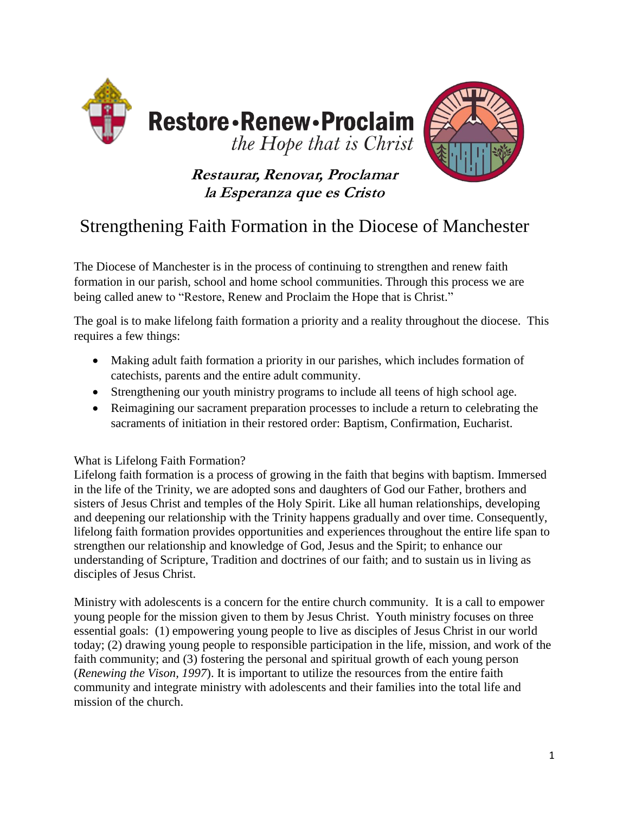



## **Restaurar, Renovar, Proclamar la Esperanza que es Cristo**

# Strengthening Faith Formation in the Diocese of Manchester

The Diocese of Manchester is in the process of continuing to strengthen and renew faith formation in our parish, school and home school communities. Through this process we are being called anew to "Restore, Renew and Proclaim the Hope that is Christ."

The goal is to make lifelong faith formation a priority and a reality throughout the diocese. This requires a few things:

- Making adult faith formation a priority in our parishes, which includes formation of catechists, parents and the entire adult community.
- Strengthening our youth ministry programs to include all teens of high school age.
- Reimagining our sacrament preparation processes to include a return to celebrating the sacraments of initiation in their restored order: Baptism, Confirmation, Eucharist.

### What is Lifelong Faith Formation?

Lifelong faith formation is a process of growing in the faith that begins with baptism. Immersed in the life of the Trinity, we are adopted sons and daughters of God our Father, brothers and sisters of Jesus Christ and temples of the Holy Spirit. Like all human relationships, developing and deepening our relationship with the Trinity happens gradually and over time. Consequently, lifelong faith formation provides opportunities and experiences throughout the entire life span to strengthen our relationship and knowledge of God, Jesus and the Spirit; to enhance our understanding of Scripture, Tradition and doctrines of our faith; and to sustain us in living as disciples of Jesus Christ.

Ministry with adolescents is a concern for the entire church community. It is a call to empower young people for the mission given to them by Jesus Christ. Youth ministry focuses on three essential goals: (1) empowering young people to live as disciples of Jesus Christ in our world today; (2) drawing young people to responsible participation in the life, mission, and work of the faith community; and (3) fostering the personal and spiritual growth of each young person (*Renewing the Vison, 1997*). It is important to utilize the resources from the entire faith community and integrate ministry with adolescents and their families into the total life and mission of the church.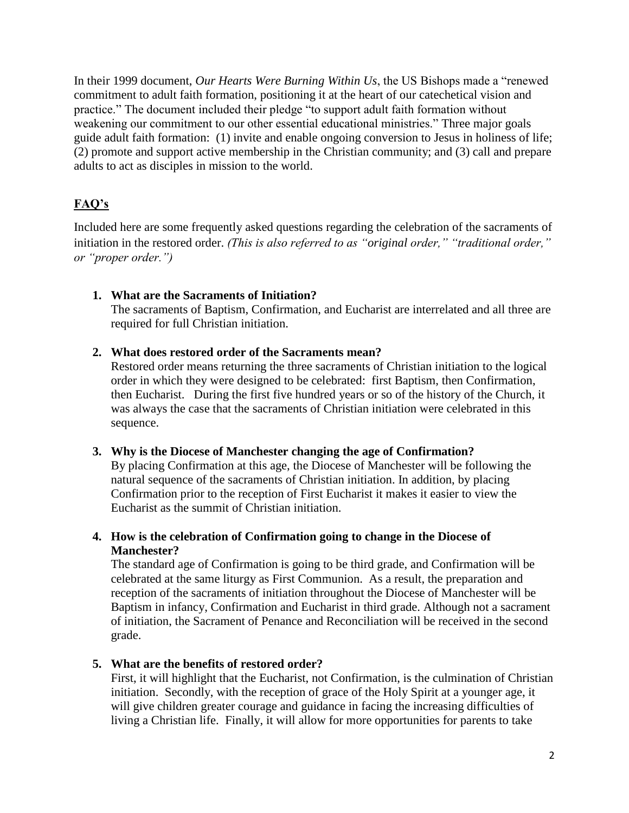In their 1999 document, *Our Hearts Were Burning Within Us*, the US Bishops made a "renewed commitment to adult faith formation, positioning it at the heart of our catechetical vision and practice." The document included their pledge "to support adult faith formation without weakening our commitment to our other essential educational ministries." Three major goals guide adult faith formation: (1) invite and enable ongoing conversion to Jesus in holiness of life; (2) promote and support active membership in the Christian community; and (3) call and prepare adults to act as disciples in mission to the world.

## **FAQ's**

Included here are some frequently asked questions regarding the celebration of the sacraments of initiation in the restored order. *(This is also referred to as "original order," "traditional order," or "proper order.")*

#### **1. What are the Sacraments of Initiation?**

The sacraments of Baptism, Confirmation, and Eucharist are interrelated and all three are required for full Christian initiation.

#### **2. What does restored order of the Sacraments mean?**

Restored order means returning the three sacraments of Christian initiation to the logical order in which they were designed to be celebrated: first Baptism, then Confirmation, then Eucharist. During the first five hundred years or so of the history of the Church, it was always the case that the sacraments of Christian initiation were celebrated in this sequence.

#### **3. Why is the Diocese of Manchester changing the age of Confirmation?** By placing Confirmation at this age, the Diocese of Manchester will be following the natural sequence of the sacraments of Christian initiation. In addition, by placing Confirmation prior to the reception of First Eucharist it makes it easier to view the Eucharist as the summit of Christian initiation.

#### **4. How is the celebration of Confirmation going to change in the Diocese of Manchester?**

The standard age of Confirmation is going to be third grade, and Confirmation will be celebrated at the same liturgy as First Communion. As a result, the preparation and reception of the sacraments of initiation throughout the Diocese of Manchester will be Baptism in infancy, Confirmation and Eucharist in third grade. Although not a sacrament of initiation, the Sacrament of Penance and Reconciliation will be received in the second grade.

#### **5. What are the benefits of restored order?**

First, it will highlight that the Eucharist, not Confirmation, is the culmination of Christian initiation. Secondly, with the reception of grace of the Holy Spirit at a younger age, it will give children greater courage and guidance in facing the increasing difficulties of living a Christian life. Finally, it will allow for more opportunities for parents to take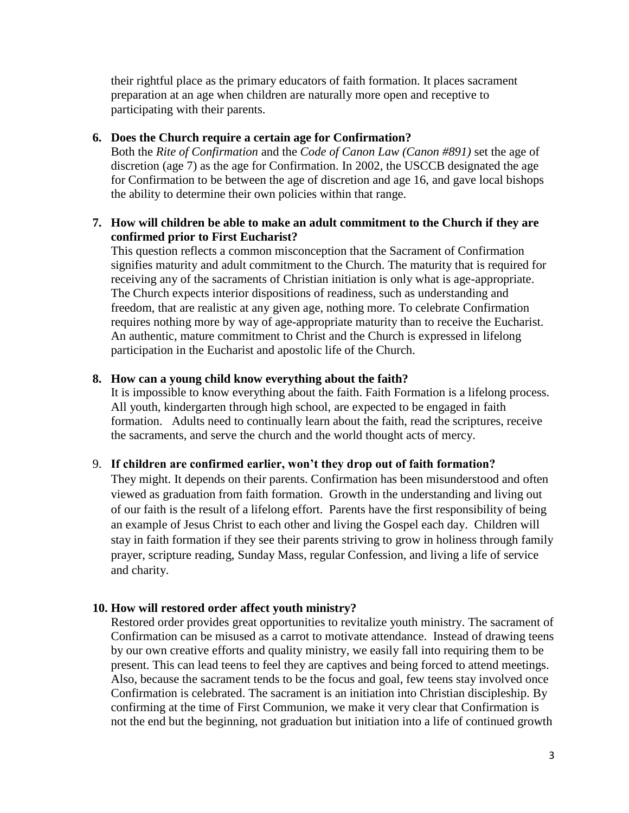their rightful place as the primary educators of faith formation. It places sacrament preparation at an age when children are naturally more open and receptive to participating with their parents.

#### **6. Does the Church require a certain age for Confirmation?**

Both the *Rite of Confirmation* and the *Code of Canon Law (Canon #891)* set the age of discretion (age 7) as the age for Confirmation. In 2002, the USCCB designated the age for Confirmation to be between the age of discretion and age 16, and gave local bishops the ability to determine their own policies within that range.

#### **7. How will children be able to make an adult commitment to the Church if they are confirmed prior to First Eucharist?**

This question reflects a common misconception that the Sacrament of Confirmation signifies maturity and adult commitment to the Church. The maturity that is required for receiving any of the sacraments of Christian initiation is only what is age-appropriate. The Church expects interior dispositions of readiness, such as understanding and freedom, that are realistic at any given age, nothing more. To celebrate Confirmation requires nothing more by way of age-appropriate maturity than to receive the Eucharist. An authentic, mature commitment to Christ and the Church is expressed in lifelong participation in the Eucharist and apostolic life of the Church.

#### **8. How can a young child know everything about the faith?**

It is impossible to know everything about the faith. Faith Formation is a lifelong process. All youth, kindergarten through high school, are expected to be engaged in faith formation. Adults need to continually learn about the faith, read the scriptures, receive the sacraments, and serve the church and the world thought acts of mercy.

#### 9. **If children are confirmed earlier, won't they drop out of faith formation?**

They might. It depends on their parents. Confirmation has been misunderstood and often viewed as graduation from faith formation. Growth in the understanding and living out of our faith is the result of a lifelong effort. Parents have the first responsibility of being an example of Jesus Christ to each other and living the Gospel each day. Children will stay in faith formation if they see their parents striving to grow in holiness through family prayer, scripture reading, Sunday Mass, regular Confession, and living a life of service and charity.

#### **10. How will restored order affect youth ministry?**

Restored order provides great opportunities to revitalize youth ministry. The sacrament of Confirmation can be misused as a carrot to motivate attendance. Instead of drawing teens by our own creative efforts and quality ministry, we easily fall into requiring them to be present. This can lead teens to feel they are captives and being forced to attend meetings. Also, because the sacrament tends to be the focus and goal, few teens stay involved once Confirmation is celebrated. The sacrament is an initiation into Christian discipleship. By confirming at the time of First Communion, we make it very clear that Confirmation is not the end but the beginning, not graduation but initiation into a life of continued growth